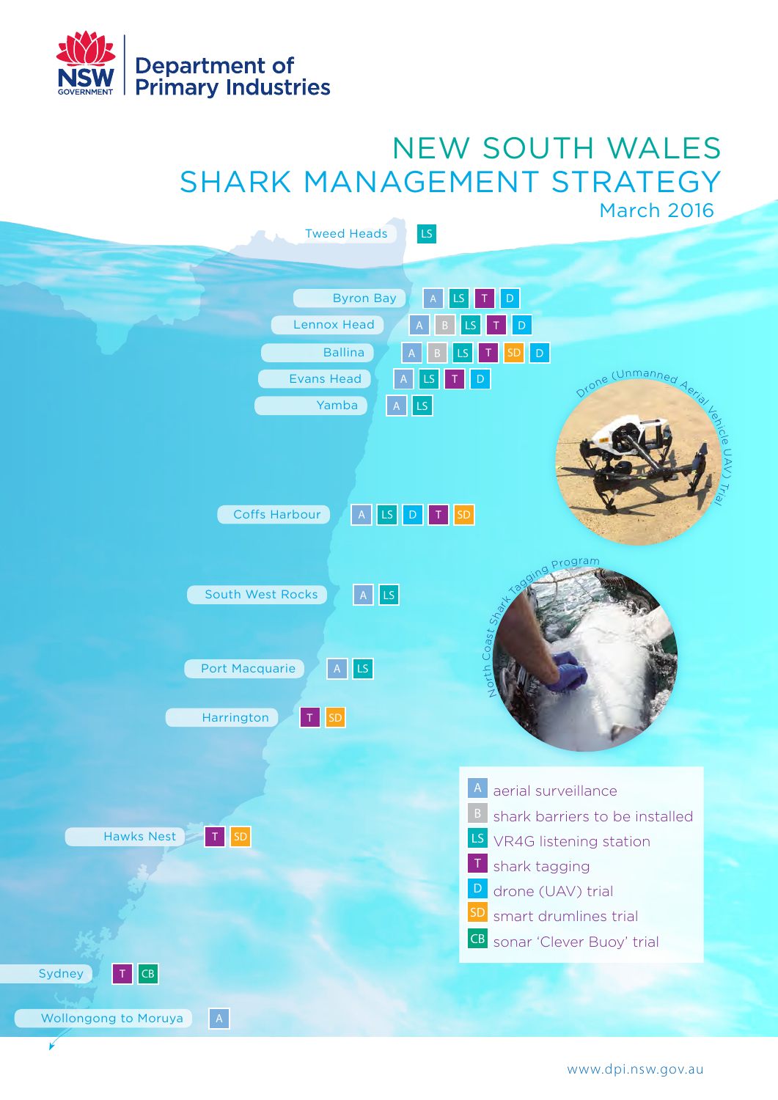

 $\overline{\mathscr{C}}$ 

# NEW SOUTH WALES SHARK MANAGEMENT STRATEGY March 2016



www.dpi.nsw.gov.au